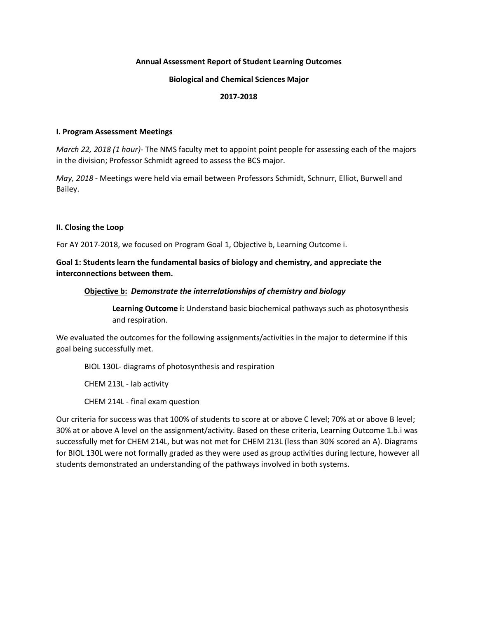## **Annual Assessment Report of Student Learning Outcomes**

## **Biological and Chemical Sciences Major**

## **2017-2018**

## **I. Program Assessment Meetings**

*March 22, 2018 (1 hour)*- The NMS faculty met to appoint point people for assessing each of the majors in the division; Professor Schmidt agreed to assess the BCS major.

*May, 2018* - Meetings were held via email between Professors Schmidt, Schnurr, Elliot, Burwell and Bailey.

## **II. Closing the Loop**

For AY 2017-2018, we focused on Program Goal 1, Objective b, Learning Outcome i.

# **Goal 1: Students learn the fundamental basics of biology and chemistry, and appreciate the interconnections between them.**

## **Objective b:** *Demonstrate the interrelationships of chemistry and biology*

**Learning Outcome i:** Understand basic biochemical pathways such as photosynthesis and respiration.

We evaluated the outcomes for the following assignments/activities in the major to determine if this goal being successfully met.

BIOL 130L- diagrams of photosynthesis and respiration

CHEM 213L - lab activity

CHEM 214L - final exam question

Our criteria for success was that 100% of students to score at or above C level; 70% at or above B level; 30% at or above A level on the assignment/activity. Based on these criteria, Learning Outcome 1.b.i was successfully met for CHEM 214L, but was not met for CHEM 213L (less than 30% scored an A). Diagrams for BIOL 130L were not formally graded as they were used as group activities during lecture, however all students demonstrated an understanding of the pathways involved in both systems.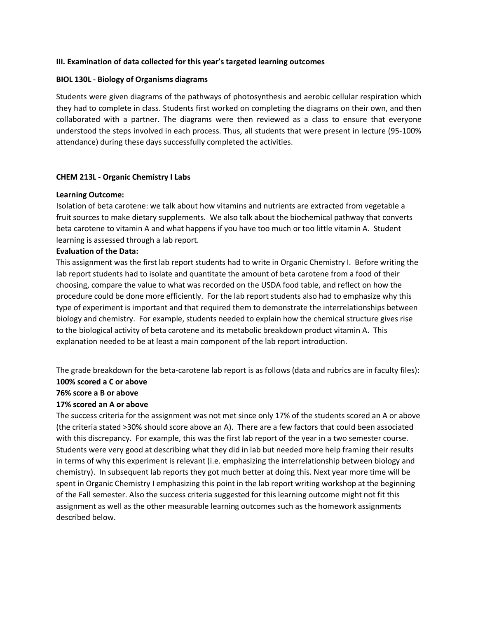## **III. Examination of data collected for this year's targeted learning outcomes**

## **BIOL 130L - Biology of Organisms diagrams**

Students were given diagrams of the pathways of photosynthesis and aerobic cellular respiration which they had to complete in class. Students first worked on completing the diagrams on their own, and then collaborated with a partner. The diagrams were then reviewed as a class to ensure that everyone understood the steps involved in each process. Thus, all students that were present in lecture (95-100% attendance) during these days successfully completed the activities.

## **CHEM 213L - Organic Chemistry I Labs**

## **Learning Outcome:**

Isolation of beta carotene: we talk about how vitamins and nutrients are extracted from vegetable a fruit sources to make dietary supplements. We also talk about the biochemical pathway that converts beta carotene to vitamin A and what happens if you have too much or too little vitamin A. Student learning is assessed through a lab report.

## **Evaluation of the Data:**

This assignment was the first lab report students had to write in Organic Chemistry I. Before writing the lab report students had to isolate and quantitate the amount of beta carotene from a food of their choosing, compare the value to what was recorded on the USDA food table, and reflect on how the procedure could be done more efficiently. For the lab report students also had to emphasize why this type of experiment is important and that required them to demonstrate the interrelationships between biology and chemistry. For example, students needed to explain how the chemical structure gives rise to the biological activity of beta carotene and its metabolic breakdown product vitamin A. This explanation needed to be at least a main component of the lab report introduction.

The grade breakdown for the beta-carotene lab report is as follows (data and rubrics are in faculty files): **100% scored a C or above**

## **76% score a B or above**

# **17% scored an A or above**

The success criteria for the assignment was not met since only 17% of the students scored an A or above (the criteria stated >30% should score above an A). There are a few factors that could been associated with this discrepancy. For example, this was the first lab report of the year in a two semester course. Students were very good at describing what they did in lab but needed more help framing their results in terms of why this experiment is relevant (i.e. emphasizing the interrelationship between biology and chemistry). In subsequent lab reports they got much better at doing this. Next year more time will be spent in Organic Chemistry I emphasizing this point in the lab report writing workshop at the beginning of the Fall semester. Also the success criteria suggested for this learning outcome might not fit this assignment as well as the other measurable learning outcomes such as the homework assignments described below.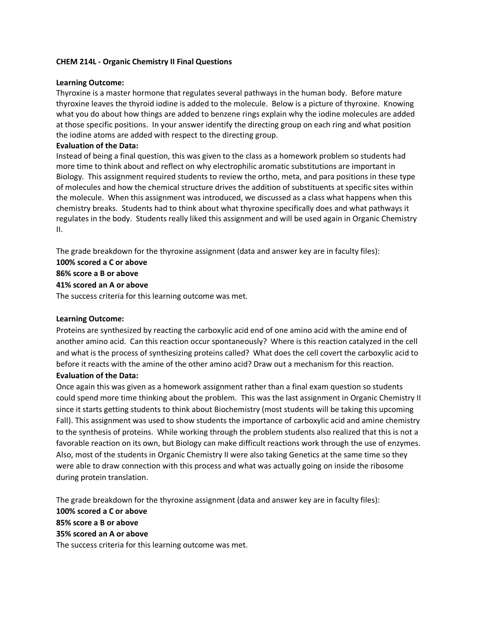# **CHEM 214L - Organic Chemistry II Final Questions**

## **Learning Outcome:**

Thyroxine is a master hormone that regulates several pathways in the human body. Before mature thyroxine leaves the thyroid iodine is added to the molecule. Below is a picture of thyroxine. Knowing what you do about how things are added to benzene rings explain why the iodine molecules are added at those specific positions. In your answer identify the directing group on each ring and what position the iodine atoms are added with respect to the directing group.

## **Evaluation of the Data:**

Instead of being a final question, this was given to the class as a homework problem so students had more time to think about and reflect on why electrophilic aromatic substitutions are important in Biology. This assignment required students to review the ortho, meta, and para positions in these type of molecules and how the chemical structure drives the addition of substituents at specific sites within the molecule. When this assignment was introduced, we discussed as a class what happens when this chemistry breaks. Students had to think about what thyroxine specifically does and what pathways it regulates in the body. Students really liked this assignment and will be used again in Organic Chemistry II.

The grade breakdown for the thyroxine assignment (data and answer key are in faculty files):

# **100% scored a C or above**

# **86% score a B or above**

# **41% scored an A or above**

The success criteria for this learning outcome was met.

# **Learning Outcome:**

Proteins are synthesized by reacting the carboxylic acid end of one amino acid with the amine end of another amino acid. Can this reaction occur spontaneously? Where is this reaction catalyzed in the cell and what is the process of synthesizing proteins called? What does the cell covert the carboxylic acid to before it reacts with the amine of the other amino acid? Draw out a mechanism for this reaction.

# **Evaluation of the Data:**

Once again this was given as a homework assignment rather than a final exam question so students could spend more time thinking about the problem. This was the last assignment in Organic Chemistry II since it starts getting students to think about Biochemistry (most students will be taking this upcoming Fall). This assignment was used to show students the importance of carboxylic acid and amine chemistry to the synthesis of proteins. While working through the problem students also realized that this is not a favorable reaction on its own, but Biology can make difficult reactions work through the use of enzymes. Also, most of the students in Organic Chemistry II were also taking Genetics at the same time so they were able to draw connection with this process and what was actually going on inside the ribosome during protein translation.

The grade breakdown for the thyroxine assignment (data and answer key are in faculty files): **100% scored a C or above 85% score a B or above 35% scored an A or above**

The success criteria for this learning outcome was met.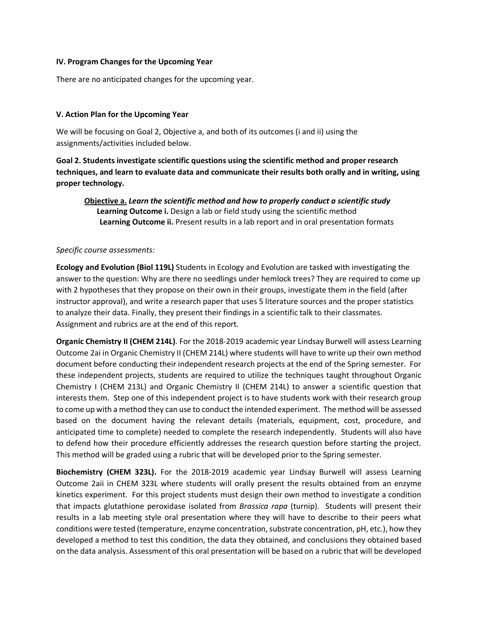## **IV. Program Changes for the Upcoming Year**

There are no anticipated changes for the upcoming year.

## **V. Action Plan for the Upcoming Year**

We will be focusing on Goal 2, Objective a, and both of its outcomes (i and ii) using the assignments/activities included below.

**Goal 2. Students investigate scientific questions using the scientific method and proper research techniques, and learn to evaluate data and communicate their results both orally and in writing, using proper technology.**

**Objective a.** *Learn the scientific method and how to properly conduct a scientific study* **Learning Outcome i.** Design a lab or field study using the scientific method **Learning Outcome ii.** Present results in a lab report and in oral presentation formats

## *Specific course assessments:*

**Ecology and Evolution (Biol 119L)** Students in Ecology and Evolution are tasked with investigating the answer to the question: Why are there no seedlings under hemlock trees? They are required to come up with 2 hypotheses that they propose on their own in their groups, investigate them in the field (after instructor approval), and write a research paper that uses 5 literature sources and the proper statistics to analyze their data. Finally, they present their findings in a scientific talk to their classmates. Assignment and rubrics are at the end of this report.

**Organic Chemistry II (CHEM 214L)**. For the 2018-2019 academic year Lindsay Burwell will assess Learning Outcome 2ai in Organic Chemistry II (CHEM 214L) where students will have to write up their own method document before conducting their independent research projects at the end of the Spring semester. For these independent projects, students are required to utilize the techniques taught throughout Organic Chemistry I (CHEM 213L) and Organic Chemistry II (CHEM 214L) to answer a scientific question that interests them. Step one of this independent project is to have students work with their research group to come up with a method they can use to conduct the intended experiment. The method will be assessed based on the document having the relevant details (materials, equipment, cost, procedure, and anticipated time to complete) needed to complete the research independently. Students will also have to defend how their procedure efficiently addresses the research question before starting the project. This method will be graded using a rubric that will be developed prior to the Spring semester.

**Biochemistry (CHEM 323L).** For the 2018-2019 academic year Lindsay Burwell will assess Learning Outcome 2aii in CHEM 323L where students will orally present the results obtained from an enzyme kinetics experiment. For this project students must design their own method to investigate a condition that impacts glutathione peroxidase isolated from *Brassica rapa* (turnip). Students will present their results in a lab meeting style oral presentation where they will have to describe to their peers what conditions were tested (temperature, enzyme concentration, substrate concentration, pH, etc.), how they developed a method to test this condition, the data they obtained, and conclusions they obtained based on the data analysis. Assessment of this oral presentation will be based on a rubric that will be developed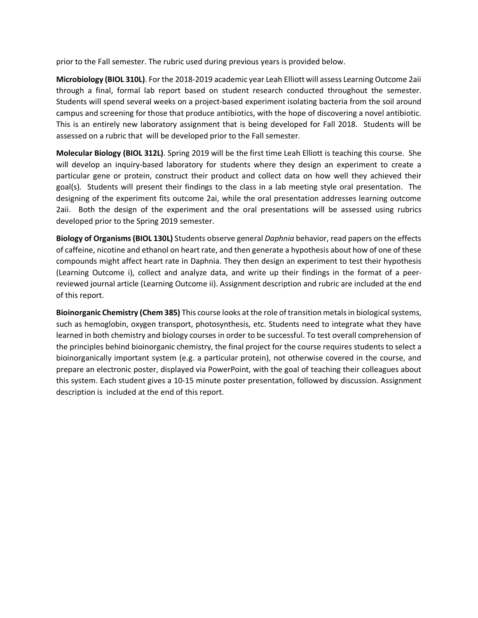prior to the Fall semester. The rubric used during previous years is provided below.

**Microbiology (BIOL 310L)**. For the 2018-2019 academic year Leah Elliott will assess Learning Outcome 2aii through a final, formal lab report based on student research conducted throughout the semester. Students will spend several weeks on a project-based experiment isolating bacteria from the soil around campus and screening for those that produce antibiotics, with the hope of discovering a novel antibiotic. This is an entirely new laboratory assignment that is being developed for Fall 2018. Students will be assessed on a rubric that will be developed prior to the Fall semester.

**Molecular Biology (BIOL 312L)**. Spring 2019 will be the first time Leah Elliott is teaching this course. She will develop an inquiry-based laboratory for students where they design an experiment to create a particular gene or protein, construct their product and collect data on how well they achieved their goal(s). Students will present their findings to the class in a lab meeting style oral presentation. The designing of the experiment fits outcome 2ai, while the oral presentation addresses learning outcome 2aii. Both the design of the experiment and the oral presentations will be assessed using rubrics developed prior to the Spring 2019 semester.

**Biology of Organisms (BIOL 130L)** Students observe general *Daphnia* behavior, read papers on the effects of caffeine, nicotine and ethanol on heart rate, and then generate a hypothesis about how of one of these compounds might affect heart rate in Daphnia. They then design an experiment to test their hypothesis (Learning Outcome i), collect and analyze data, and write up their findings in the format of a peerreviewed journal article (Learning Outcome ii). Assignment description and rubric are included at the end of this report.

**Bioinorganic Chemistry (Chem 385)** This course looks at the role of transition metals in biological systems, such as hemoglobin, oxygen transport, photosynthesis, etc. Students need to integrate what they have learned in both chemistry and biology courses in order to be successful. To test overall comprehension of the principles behind bioinorganic chemistry, the final project for the course requires students to select a bioinorganically important system (e.g. a particular protein), not otherwise covered in the course, and prepare an electronic poster, displayed via PowerPoint, with the goal of teaching their colleagues about this system. Each student gives a 10-15 minute poster presentation, followed by discussion. Assignment description is included at the end of this report.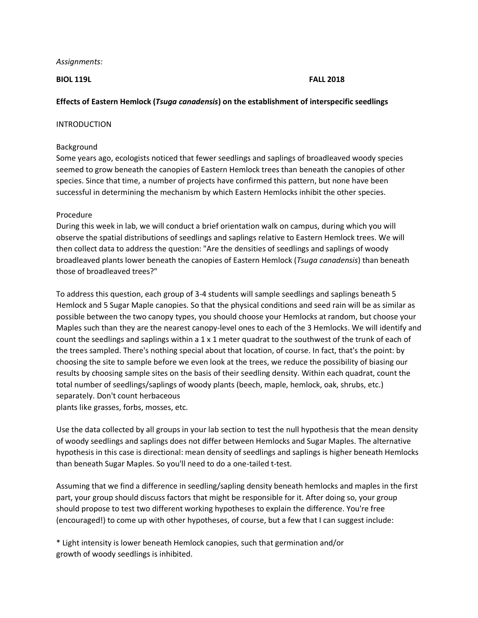## *Assignments:*

## **BIOL 119L FALL 2018**

# **Effects of Eastern Hemlock (***Tsuga canadensis***) on the establishment of interspecific seedlings**

## INTRODUCTION

## Background

Some years ago, ecologists noticed that fewer seedlings and saplings of broadleaved woody species seemed to grow beneath the canopies of Eastern Hemlock trees than beneath the canopies of other species. Since that time, a number of projects have confirmed this pattern, but none have been successful in determining the mechanism by which Eastern Hemlocks inhibit the other species.

# Procedure

During this week in lab, we will conduct a brief orientation walk on campus, during which you will observe the spatial distributions of seedlings and saplings relative to Eastern Hemlock trees. We will then collect data to address the question: "Are the densities of seedlings and saplings of woody broadleaved plants lower beneath the canopies of Eastern Hemlock (*Tsuga canadensis*) than beneath those of broadleaved trees?"

To address this question, each group of 3-4 students will sample seedlings and saplings beneath 5 Hemlock and 5 Sugar Maple canopies. So that the physical conditions and seed rain will be as similar as possible between the two canopy types, you should choose your Hemlocks at random, but choose your Maples such than they are the nearest canopy-level ones to each of the 3 Hemlocks. We will identify and count the seedlings and saplings within a  $1 \times 1$  meter quadrat to the southwest of the trunk of each of the trees sampled. There's nothing special about that location, of course. In fact, that's the point: by choosing the site to sample before we even look at the trees, we reduce the possibility of biasing our results by choosing sample sites on the basis of their seedling density. Within each quadrat, count the total number of seedlings/saplings of woody plants (beech, maple, hemlock, oak, shrubs, etc.) separately. Don't count herbaceous plants like grasses, forbs, mosses, etc.

Use the data collected by all groups in your lab section to test the null hypothesis that the mean density of woody seedlings and saplings does not differ between Hemlocks and Sugar Maples. The alternative hypothesis in this case is directional: mean density of seedlings and saplings is higher beneath Hemlocks than beneath Sugar Maples. So you'll need to do a one-tailed t-test.

Assuming that we find a difference in seedling/sapling density beneath hemlocks and maples in the first part, your group should discuss factors that might be responsible for it. After doing so, your group should propose to test two different working hypotheses to explain the difference. You're free (encouraged!) to come up with other hypotheses, of course, but a few that I can suggest include:

\* Light intensity is lower beneath Hemlock canopies, such that germination and/or growth of woody seedlings is inhibited.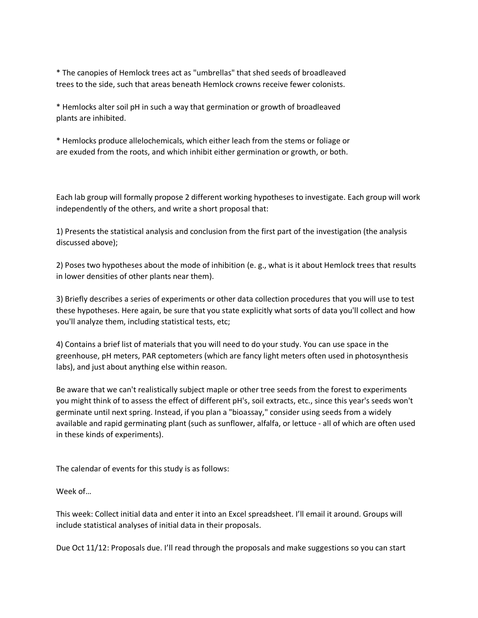\* The canopies of Hemlock trees act as "umbrellas" that shed seeds of broadleaved trees to the side, such that areas beneath Hemlock crowns receive fewer colonists.

\* Hemlocks alter soil pH in such a way that germination or growth of broadleaved plants are inhibited.

\* Hemlocks produce allelochemicals, which either leach from the stems or foliage or are exuded from the roots, and which inhibit either germination or growth, or both.

Each lab group will formally propose 2 different working hypotheses to investigate. Each group will work independently of the others, and write a short proposal that:

1) Presents the statistical analysis and conclusion from the first part of the investigation (the analysis discussed above);

2) Poses two hypotheses about the mode of inhibition (e. g., what is it about Hemlock trees that results in lower densities of other plants near them).

3) Briefly describes a series of experiments or other data collection procedures that you will use to test these hypotheses. Here again, be sure that you state explicitly what sorts of data you'll collect and how you'll analyze them, including statistical tests, etc;

4) Contains a brief list of materials that you will need to do your study. You can use space in the greenhouse, pH meters, PAR ceptometers (which are fancy light meters often used in photosynthesis labs), and just about anything else within reason.

Be aware that we can't realistically subject maple or other tree seeds from the forest to experiments you might think of to assess the effect of different pH's, soil extracts, etc., since this year's seeds won't germinate until next spring. Instead, if you plan a "bioassay," consider using seeds from a widely available and rapid germinating plant (such as sunflower, alfalfa, or lettuce - all of which are often used in these kinds of experiments).

The calendar of events for this study is as follows:

Week of…

This week: Collect initial data and enter it into an Excel spreadsheet. I'll email it around. Groups will include statistical analyses of initial data in their proposals.

Due Oct 11/12: Proposals due. I'll read through the proposals and make suggestions so you can start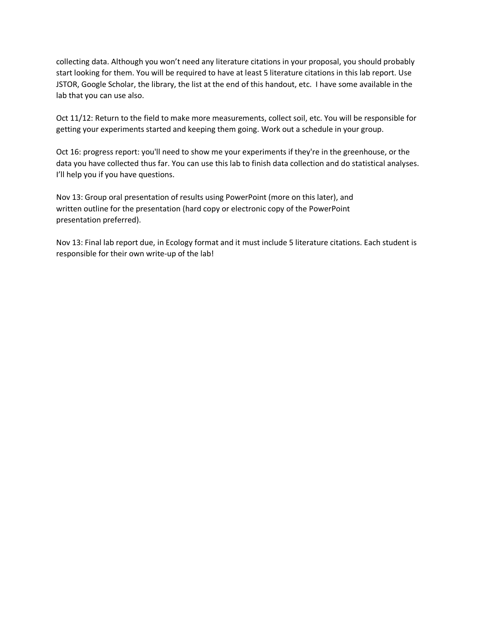collecting data. Although you won't need any literature citations in your proposal, you should probably start looking for them. You will be required to have at least 5 literature citations in this lab report. Use JSTOR, Google Scholar, the library, the list at the end of this handout, etc. I have some available in the lab that you can use also.

Oct 11/12: Return to the field to make more measurements, collect soil, etc. You will be responsible for getting your experiments started and keeping them going. Work out a schedule in your group.

Oct 16: progress report: you'll need to show me your experiments if they're in the greenhouse, or the data you have collected thus far. You can use this lab to finish data collection and do statistical analyses. I'll help you if you have questions.

Nov 13: Group oral presentation of results using PowerPoint (more on this later), and written outline for the presentation (hard copy or electronic copy of the PowerPoint presentation preferred).

Nov 13: Final lab report due, in Ecology format and it must include 5 literature citations. Each student is responsible for their own write-up of the lab!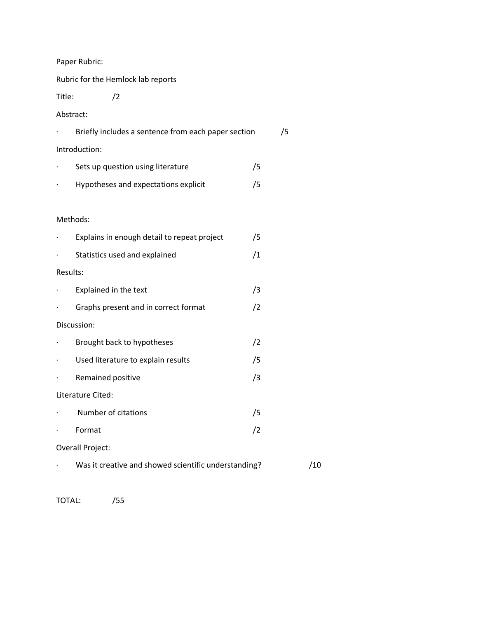Paper Rubric:

Rubric for the Hemlock lab reports

Title: /2

Abstract:

|                | Briefly includes a sentence from each paper section         |    | /5 |  |  |  |
|----------------|-------------------------------------------------------------|----|----|--|--|--|
|                | Introduction:                                               |    |    |  |  |  |
| $\cdot$        | Sets up question using literature                           | /5 |    |  |  |  |
| $\bullet$      | Hypotheses and expectations explicit                        | /5 |    |  |  |  |
|                |                                                             |    |    |  |  |  |
|                | Methods:                                                    |    |    |  |  |  |
|                | Explains in enough detail to repeat project                 | /5 |    |  |  |  |
| $\cdot$        | Statistics used and explained                               | /1 |    |  |  |  |
| Results:       |                                                             |    |    |  |  |  |
|                | Explained in the text                                       | /3 |    |  |  |  |
|                | Graphs present and in correct format                        | /2 |    |  |  |  |
|                | Discussion:                                                 |    |    |  |  |  |
| $\cdot$        | Brought back to hypotheses                                  | /2 |    |  |  |  |
| $\blacksquare$ | Used literature to explain results                          | /5 |    |  |  |  |
|                | Remained positive                                           | /3 |    |  |  |  |
|                | Literature Cited:                                           |    |    |  |  |  |
|                | Number of citations                                         | /5 |    |  |  |  |
|                | Format                                                      | /2 |    |  |  |  |
|                | Overall Project:                                            |    |    |  |  |  |
|                | /10<br>Was it creative and showed scientific understanding? |    |    |  |  |  |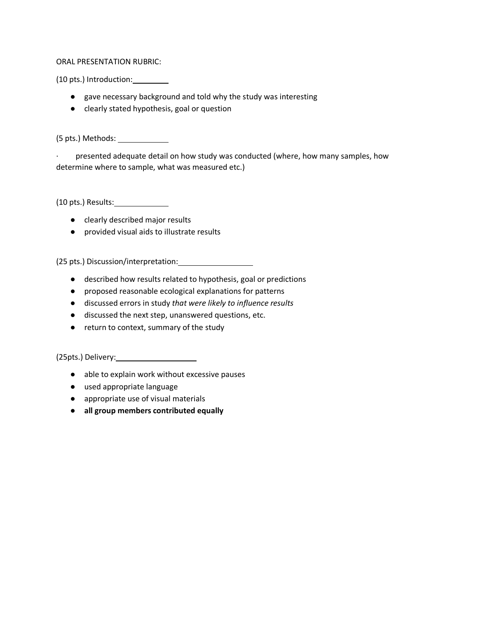ORAL PRESENTATION RUBRIC:

(10 pts.) Introduction:

- gave necessary background and told why the study was interesting
- clearly stated hypothesis, goal or question

(5 pts.) Methods:

· presented adequate detail on how study was conducted (where, how many samples, how determine where to sample, what was measured etc.)

(10 pts.) Results:

- clearly described major results
- provided visual aids to illustrate results

(25 pts.) Discussion/interpretation:

- described how results related to hypothesis, goal or predictions
- proposed reasonable ecological explanations for patterns
- discussed errors in study *that were likely to influence results*
- discussed the next step, unanswered questions, etc.
- return to context, summary of the study

(25pts.) Delivery:

- able to explain work without excessive pauses
- used appropriate language
- appropriate use of visual materials
- **all group members contributed equally**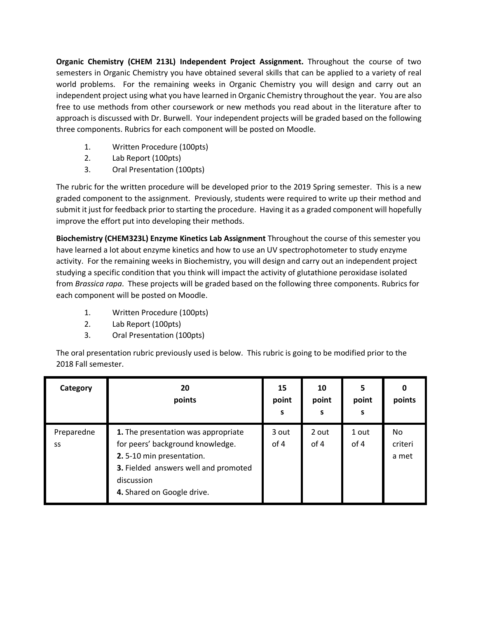**Organic Chemistry (CHEM 213L) Independent Project Assignment.** Throughout the course of two semesters in Organic Chemistry you have obtained several skills that can be applied to a variety of real world problems. For the remaining weeks in Organic Chemistry you will design and carry out an independent project using what you have learned in Organic Chemistry throughout the year. You are also free to use methods from other coursework or new methods you read about in the literature after to approach is discussed with Dr. Burwell. Your independent projects will be graded based on the following three components. Rubrics for each component will be posted on Moodle.

- 1. Written Procedure (100pts)
- 2. Lab Report (100pts)
- 3. Oral Presentation (100pts)

The rubric for the written procedure will be developed prior to the 2019 Spring semester. This is a new graded component to the assignment. Previously, students were required to write up their method and submit it just for feedback prior to starting the procedure. Having it as a graded component will hopefully improve the effort put into developing their methods.

**Biochemistry (CHEM323L) Enzyme Kinetics Lab Assignment** Throughout the course of this semester you have learned a lot about enzyme kinetics and how to use an UV spectrophotometer to study enzyme activity. For the remaining weeks in Biochemistry, you will design and carry out an independent project studying a specific condition that you think will impact the activity of glutathione peroxidase isolated from *Brassica rapa*. These projects will be graded based on the following three components. Rubrics for each component will be posted on Moodle.

- 1. Written Procedure (100pts)
- 2. Lab Report (100pts)
- 3. Oral Presentation (100pts)

The oral presentation rubric previously used is below. This rubric is going to be modified prior to the 2018 Fall semester.

| Category         | 20<br>points                                                                                                                                                                            | 15<br>point<br>S | 10<br>point<br>s | 5<br>point<br>s | O<br>points            |
|------------------|-----------------------------------------------------------------------------------------------------------------------------------------------------------------------------------------|------------------|------------------|-----------------|------------------------|
| Preparedne<br>SS | 1. The presentation was appropriate<br>for peers' background knowledge.<br>2.5-10 min presentation.<br>3. Fielded answers well and promoted<br>discussion<br>4. Shared on Google drive. | 3 out<br>of 4    | 2 out<br>of 4    | 1 out<br>of 4   | No<br>criteri<br>a met |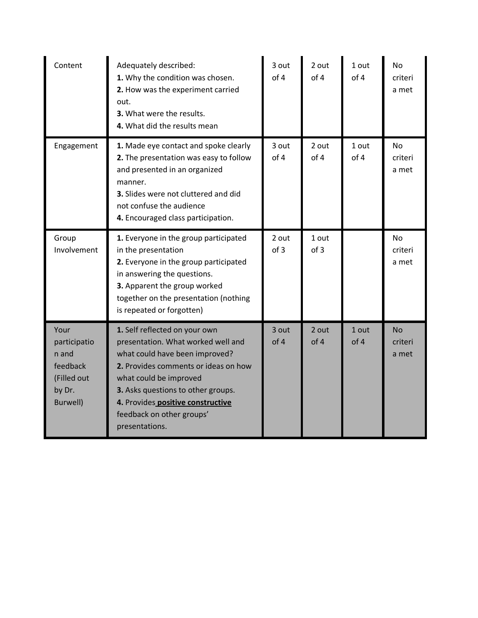| Content                                                                        | Adequately described:<br>1. Why the condition was chosen.<br>2. How was the experiment carried<br>out.<br>3. What were the results.<br>4. What did the results mean                                                                                                                               | 3 out<br>of 4 | 2 out<br>of 4 | 1 out<br>of 4 | <b>No</b><br>criteri<br>a met |
|--------------------------------------------------------------------------------|---------------------------------------------------------------------------------------------------------------------------------------------------------------------------------------------------------------------------------------------------------------------------------------------------|---------------|---------------|---------------|-------------------------------|
| Engagement                                                                     | 1. Made eye contact and spoke clearly<br>2. The presentation was easy to follow<br>and presented in an organized<br>manner.<br>3. Slides were not cluttered and did<br>not confuse the audience<br>4. Encouraged class participation.                                                             | 3 out<br>of 4 | 2 out<br>of 4 | 1 out<br>of 4 | <b>No</b><br>criteri<br>a met |
| Group<br>Involvement                                                           | 1. Everyone in the group participated<br>in the presentation<br>2. Everyone in the group participated<br>in answering the questions.<br>3. Apparent the group worked<br>together on the presentation (nothing<br>is repeated or forgotten)                                                        | 2 out<br>of 3 | 1 out<br>of 3 |               | No<br>criteri<br>a met        |
| Your<br>participatio<br>n and<br>feedback<br>(Filled out<br>by Dr.<br>Burwell) | 1. Self reflected on your own<br>presentation. What worked well and<br>what could have been improved?<br>2. Provides comments or ideas on how<br>what could be improved<br>3. Asks questions to other groups.<br>4. Provides positive constructive<br>feedback on other groups'<br>presentations. | 3 out<br>of 4 | 2 out<br>of 4 | 1 out<br>of 4 | <b>No</b><br>criteri<br>a met |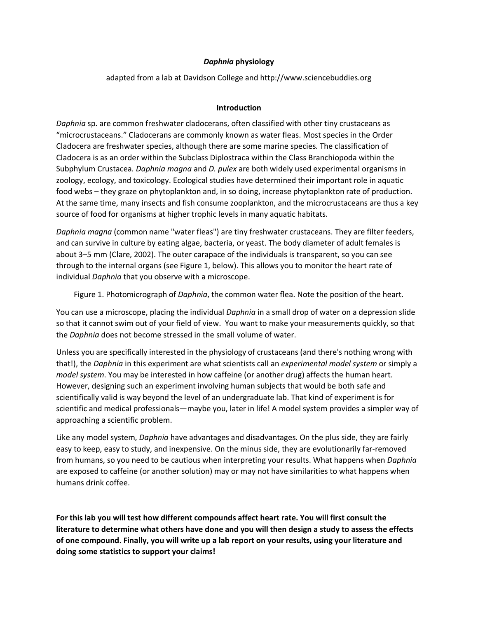# *Daphnia* **physiology**

adapted from a lab at Davidson College and http://www.sciencebuddies.org

# **Introduction**

*Daphnia* sp. are common freshwater cladocerans, often classified with other tiny crustaceans as "microcrustaceans." Cladocerans are commonly known as water fleas. Most species in the Order Cladocera are freshwater species, although there are some marine species. The classification of Cladocera is as an order within the Subclass Diplostraca within the Class Branchiopoda within the Subphylum Crustacea*. Daphnia magna* and *D. pulex* are both widely used experimental organisms in zoology, ecology, and toxicology. Ecological studies have determined their important role in aquatic food webs – they graze on phytoplankton and, in so doing, increase phytoplankton rate of production. At the same time, many insects and fish consume zooplankton, and the microcrustaceans are thus a key source of food for organisms at higher trophic levels in many aquatic habitats.

*Daphnia magna* (common name "water fleas") are tiny freshwater crustaceans. They are filter feeders, and can survive in culture by eating algae, bacteria, or yeast. The body diameter of adult females is about 3–5 mm (Clare, 2002). The outer carapace of the individuals is transparent, so you can see through to the internal organs (see Figure 1, below). This allows you to monitor the heart rate of individual *Daphnia* that you observe with a microscope.

Figure 1. Photomicrograph of *Daphnia*, the common water flea. Note the position of the heart.

You can use a microscope, placing the individual *Daphnia* in a small drop of water on a depression slide so that it cannot swim out of your field of view. You want to make your measurements quickly, so that the *Daphnia* does not become stressed in the small volume of water.

Unless you are specifically interested in the physiology of crustaceans (and there's nothing wrong with that!), the *Daphnia* in this experiment are what scientists call an *experimental model system* or simply a *model system*. You may be interested in how caffeine (or another drug) affects the human heart. However, designing such an experiment involving human subjects that would be both safe and scientifically valid is way beyond the level of an undergraduate lab. That kind of experiment is for scientific and medical professionals—maybe you, later in life! A model system provides a simpler way of approaching a scientific problem.

Like any model system, *Daphnia* have advantages and disadvantages. On the plus side, they are fairly easy to keep, easy to study, and inexpensive. On the minus side, they are evolutionarily far-removed from humans, so you need to be cautious when interpreting your results. What happens when *Daphnia* are exposed to caffeine (or another solution) may or may not have similarities to what happens when humans drink coffee.

**For this lab you will test how different compounds affect heart rate. You will first consult the literature to determine what others have done and you will then design a study to assess the effects of one compound. Finally, you will write up a lab report on your results, using your literature and doing some statistics to support your claims!**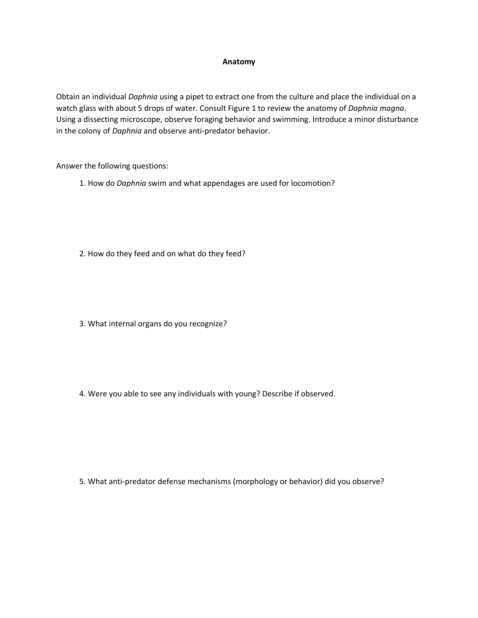#### **Anatomy**

Obtain an individual *Daphnia* using a pipet to extract one from the culture and place the individual on a watch glass with about 5 drops of water. Consult Figure 1 to review the anatomy of *Daphnia magna*. Using a dissecting microscope, observe foraging behavior and swimming. Introduce a minor disturbance in the colony of *Daphnia* and observe anti-predator behavior.

Answer the following questions:

- 1. How do *Daphnia* swim and what appendages are used for locomotion?
- 2. How do they feed and on what do they feed?
- 3. What internal organs do you recognize?
- 4. Were you able to see any individuals with young? Describe if observed.

5. What anti-predator defense mechanisms (morphology or behavior) did you observe?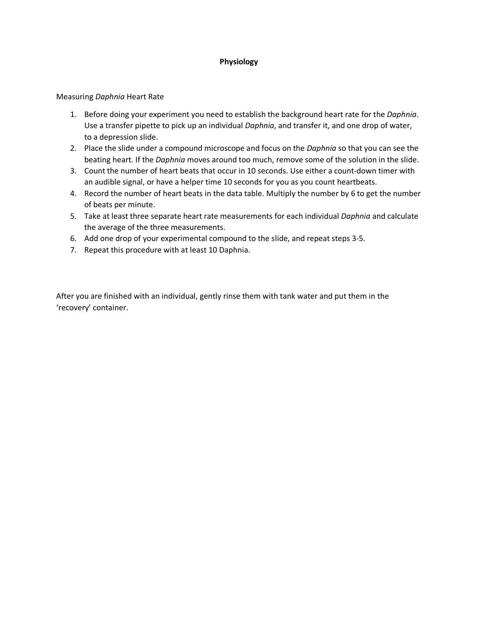# **Physiology**

## Measuring *Daphnia* Heart Rate

- 1. Before doing your experiment you need to establish the background heart rate for the *Daphnia*. Use a transfer pipette to pick up an individual *Daphnia*, and transfer it, and one drop of water, to a depression slide.
- 2. Place the slide under a compound microscope and focus on the *Daphnia* so that you can see the beating heart. If the *Daphnia* moves around too much, remove some of the solution in the slide.
- 3. Count the number of heart beats that occur in 10 seconds. Use either a count-down timer with an audible signal, or have a helper time 10 seconds for you as you count heartbeats.
- 4. Record the number of heart beats in the data table. Multiply the number by 6 to get the number of beats per minute.
- 5. Take at least three separate heart rate measurements for each individual *Daphnia* and calculate the average of the three measurements.
- 6. Add one drop of your experimental compound to the slide, and repeat steps 3-5.
- 7. Repeat this procedure with at least 10 Daphnia.

After you are finished with an individual, gently rinse them with tank water and put them in the 'recovery' container.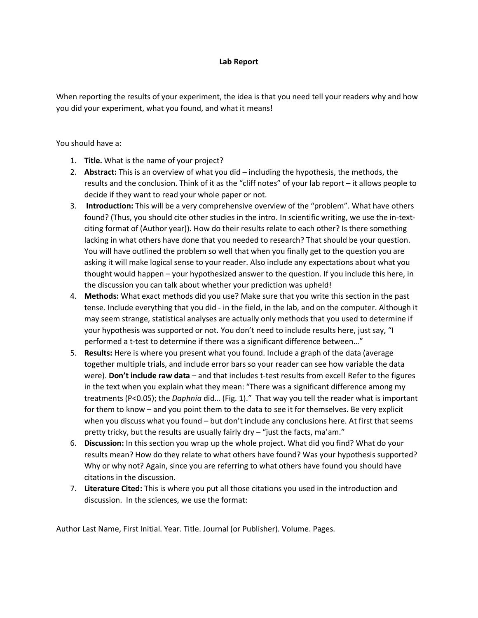## **Lab Report**

When reporting the results of your experiment, the idea is that you need tell your readers why and how you did your experiment, what you found, and what it means!

You should have a:

- 1. **Title.** What is the name of your project?
- 2. **Abstract:** This is an overview of what you did including the hypothesis, the methods, the results and the conclusion. Think of it as the "cliff notes" of your lab report – it allows people to decide if they want to read your whole paper or not.
- 3. **Introduction:** This will be a very comprehensive overview of the "problem". What have others found? (Thus, you should cite other studies in the intro. In scientific writing, we use the in-textciting format of (Author year)). How do their results relate to each other? Is there something lacking in what others have done that you needed to research? That should be your question. You will have outlined the problem so well that when you finally get to the question you are asking it will make logical sense to your reader. Also include any expectations about what you thought would happen – your hypothesized answer to the question. If you include this here, in the discussion you can talk about whether your prediction was upheld!
- 4. **Methods:** What exact methods did you use? Make sure that you write this section in the past tense. Include everything that you did - in the field, in the lab, and on the computer. Although it may seem strange, statistical analyses are actually only methods that you used to determine if your hypothesis was supported or not. You don't need to include results here, just say, "I performed a t-test to determine if there was a significant difference between…"
- 5. **Results:** Here is where you present what you found. Include a graph of the data (average together multiple trials, and include error bars so your reader can see how variable the data were). **Don't include raw data** – and that includes t-test results from excel! Refer to the figures in the text when you explain what they mean: "There was a significant difference among my treatments (P<0.05); the *Daphnia* did… (Fig. 1)." That way you tell the reader what is important for them to know – and you point them to the data to see it for themselves. Be very explicit when you discuss what you found – but don't include any conclusions here. At first that seems pretty tricky, but the results are usually fairly dry – "just the facts, ma'am."
- 6. **Discussion:** In this section you wrap up the whole project. What did you find? What do your results mean? How do they relate to what others have found? Was your hypothesis supported? Why or why not? Again, since you are referring to what others have found you should have citations in the discussion.
- 7. **Literature Cited:** This is where you put all those citations you used in the introduction and discussion. In the sciences, we use the format:

Author Last Name, First Initial. Year. Title. Journal (or Publisher). Volume. Pages.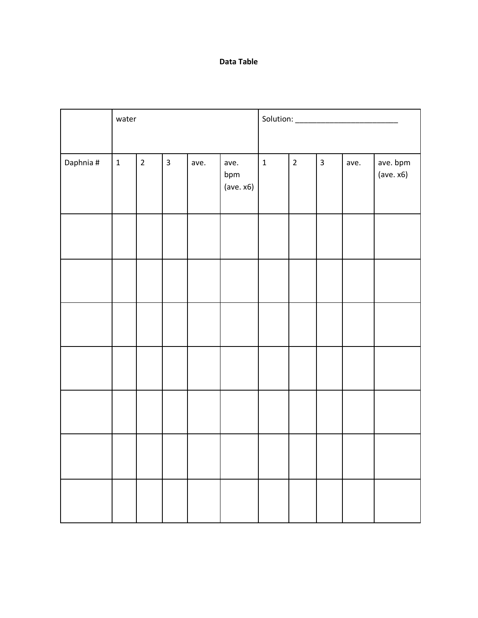# **Data Table**

|           | water       |                |                         |      |                          |             |                |                         |      |                       |
|-----------|-------------|----------------|-------------------------|------|--------------------------|-------------|----------------|-------------------------|------|-----------------------|
|           |             |                |                         |      |                          |             |                |                         |      |                       |
| Daphnia # | $\mathbf 1$ | $\overline{2}$ | $\overline{\mathbf{3}}$ | ave. | ave.<br>bpm<br>(ave. x6) | $\mathbf 1$ | $\overline{2}$ | $\overline{\mathbf{3}}$ | ave. | ave. bpm<br>(ave. x6) |
|           |             |                |                         |      |                          |             |                |                         |      |                       |
|           |             |                |                         |      |                          |             |                |                         |      |                       |
|           |             |                |                         |      |                          |             |                |                         |      |                       |
|           |             |                |                         |      |                          |             |                |                         |      |                       |
|           |             |                |                         |      |                          |             |                |                         |      |                       |
|           |             |                |                         |      |                          |             |                |                         |      |                       |
|           |             |                |                         |      |                          |             |                |                         |      |                       |